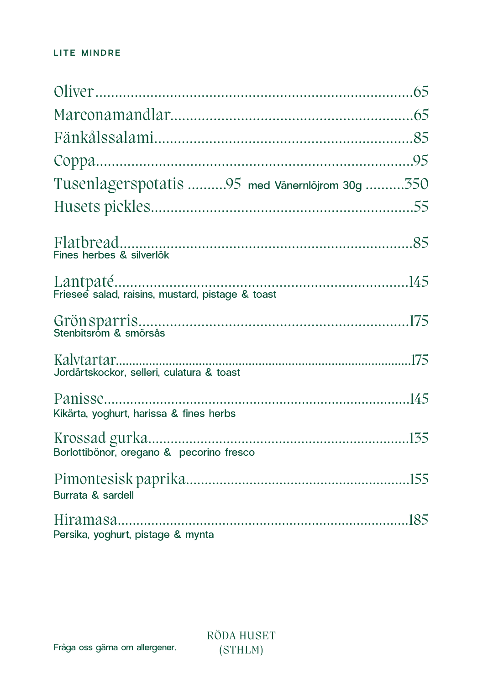## LITE MINDRE

| Tusenlagerspotatis 95 med Vänernlöjrom 30g 350 |  |
|------------------------------------------------|--|
|                                                |  |
| Fines herbes & silverlök                       |  |
|                                                |  |
|                                                |  |
| Jordärtskockor, selleri, culatura & toast      |  |
| Kikärta, yoghurt, harissa & fines herbs        |  |
| Borlottibönor, oregano & pecorino fresco       |  |
| Burrata & sardell                              |  |
| Persika, yoghurt, pistage & mynta              |  |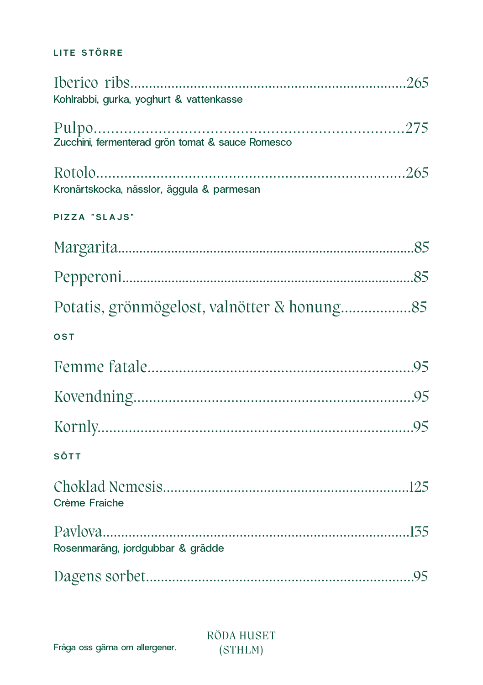## **LITE STÖRRE**

| Kohlrabbi, gurka, yoghurt & vattenkasse          |  |
|--------------------------------------------------|--|
| Zucchini, fermenterad grön tomat & sauce Romesco |  |
| Kronärtskocka, nässlor, äggula & parmesan        |  |
| PIZZA "SLAJS"                                    |  |
|                                                  |  |
|                                                  |  |
|                                                  |  |
| OST                                              |  |
|                                                  |  |
|                                                  |  |
|                                                  |  |
| SÖTT                                             |  |
| Crème Fraiche                                    |  |
| Rosenmaräng, jordgubbar & grädde                 |  |
|                                                  |  |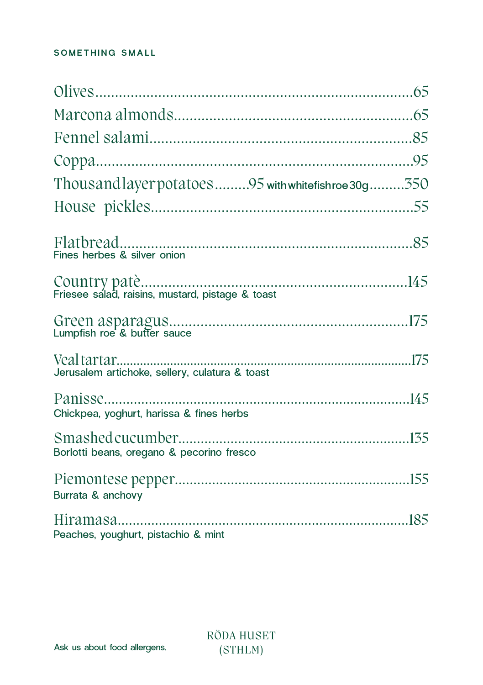## **SOMETHING SMALL**

| Thousandlayer potatoes95 with white fishroe 30g 350 |  |
|-----------------------------------------------------|--|
|                                                     |  |
| Fines herbes & silver onion                         |  |
|                                                     |  |
|                                                     |  |
| Jerusalem artichoke, sellery, culatura & toast      |  |
| Chickpea, yoghurt, harissa & fines herbs            |  |
| Borlotti beans, oregano & pecorino fresco           |  |
| Burrata & anchovy                                   |  |
| Peaches, youghurt, pistachio & mint                 |  |